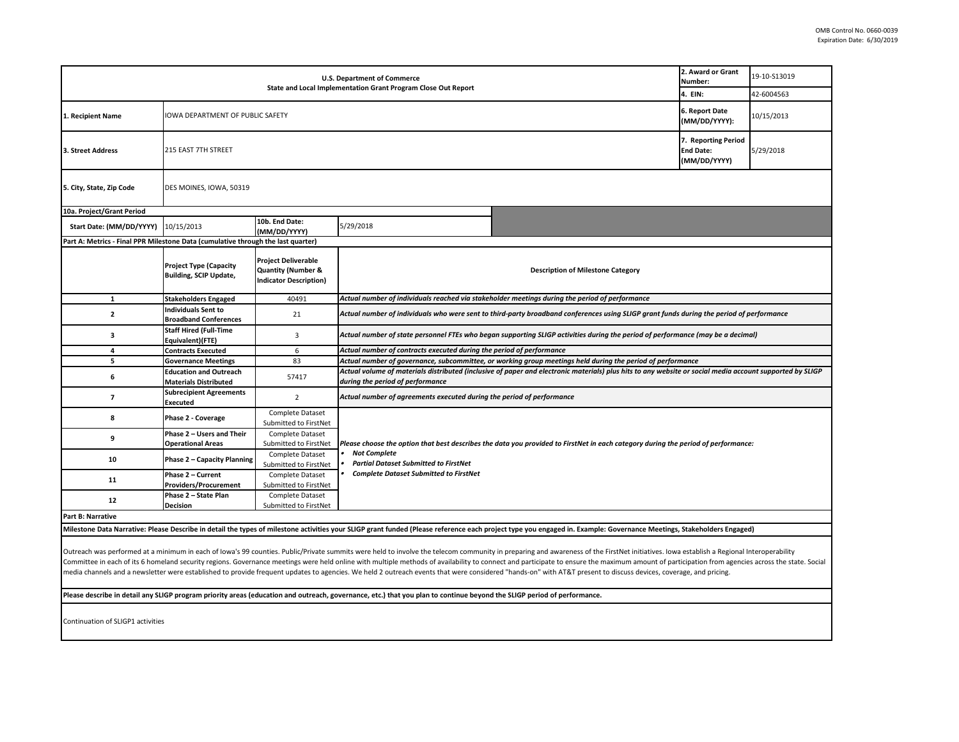| U.S. Department of Commerce<br>State and Local Implementation Grant Program Close Out Report                                                                                                                                                                                                                                                                                                                                                                     |                                                                |                                                                                              |                                                                                                                                                                                                                                                           | 2. Award or Grant<br>Number:<br>4. EIN: | 19-10-S13019<br>42-6004563                              |           |  |
|------------------------------------------------------------------------------------------------------------------------------------------------------------------------------------------------------------------------------------------------------------------------------------------------------------------------------------------------------------------------------------------------------------------------------------------------------------------|----------------------------------------------------------------|----------------------------------------------------------------------------------------------|-----------------------------------------------------------------------------------------------------------------------------------------------------------------------------------------------------------------------------------------------------------|-----------------------------------------|---------------------------------------------------------|-----------|--|
|                                                                                                                                                                                                                                                                                                                                                                                                                                                                  |                                                                |                                                                                              |                                                                                                                                                                                                                                                           |                                         |                                                         |           |  |
| 1. Recipient Name                                                                                                                                                                                                                                                                                                                                                                                                                                                | IOWA DEPARTMENT OF PUBLIC SAFETY                               |                                                                                              |                                                                                                                                                                                                                                                           | 6. Report Date<br>(MM/DD/YYYY):         | 10/15/2013                                              |           |  |
| 3. Street Address                                                                                                                                                                                                                                                                                                                                                                                                                                                | 215 EAST 7TH STREET                                            |                                                                                              |                                                                                                                                                                                                                                                           |                                         | 7. Reporting Period<br><b>End Date:</b><br>(MM/DD/YYYY) | 5/29/2018 |  |
| 5. City, State, Zip Code                                                                                                                                                                                                                                                                                                                                                                                                                                         | DES MOINES, IOWA, 50319                                        |                                                                                              |                                                                                                                                                                                                                                                           |                                         |                                                         |           |  |
| 10a. Project/Grant Period                                                                                                                                                                                                                                                                                                                                                                                                                                        |                                                                |                                                                                              |                                                                                                                                                                                                                                                           |                                         |                                                         |           |  |
| Start Date: (MM/DD/YYYY)                                                                                                                                                                                                                                                                                                                                                                                                                                         | 10/15/2013                                                     | 10b. End Date:<br>(MM/DD/YYYY)                                                               | 5/29/2018                                                                                                                                                                                                                                                 |                                         |                                                         |           |  |
| Part A: Metrics - Final PPR Milestone Data (cumulative through the last quarter)                                                                                                                                                                                                                                                                                                                                                                                 |                                                                |                                                                                              |                                                                                                                                                                                                                                                           |                                         |                                                         |           |  |
|                                                                                                                                                                                                                                                                                                                                                                                                                                                                  | <b>Project Type (Capacity</b><br><b>Building, SCIP Update,</b> | <b>Project Deliverable</b><br><b>Quantity (Number &amp;</b><br><b>Indicator Description)</b> | <b>Description of Milestone Category</b>                                                                                                                                                                                                                  |                                         |                                                         |           |  |
| $\mathbf{1}$                                                                                                                                                                                                                                                                                                                                                                                                                                                     | <b>Stakeholders Engaged</b>                                    | 40491                                                                                        | Actual number of individuals reached via stakeholder meetings during the period of performance                                                                                                                                                            |                                         |                                                         |           |  |
| $\mathbf{2}$                                                                                                                                                                                                                                                                                                                                                                                                                                                     | <b>Individuals Sent to</b><br><b>Broadband Conferences</b>     | 21                                                                                           | Actual number of individuals who were sent to third-party broadband conferences using SLIGP grant funds during the period of performance                                                                                                                  |                                         |                                                         |           |  |
| 3                                                                                                                                                                                                                                                                                                                                                                                                                                                                | <b>Staff Hired (Full-Time</b><br>Equivalent)(FTE)              | 3                                                                                            | Actual number of state personnel FTEs who began supporting SLIGP activities during the period of performance (may be a decimal)                                                                                                                           |                                         |                                                         |           |  |
| $\overline{4}$                                                                                                                                                                                                                                                                                                                                                                                                                                                   | <b>Contracts Executed</b>                                      | 6                                                                                            | Actual number of contracts executed during the period of performance                                                                                                                                                                                      |                                         |                                                         |           |  |
| 5                                                                                                                                                                                                                                                                                                                                                                                                                                                                | <b>Governance Meetings</b>                                     | 83                                                                                           | Actual number of governance, subcommittee, or working group meetings held during the period of performance                                                                                                                                                |                                         |                                                         |           |  |
| 6                                                                                                                                                                                                                                                                                                                                                                                                                                                                | <b>Education and Outreach</b><br><b>Materials Distributed</b>  | 57417                                                                                        | Actual volume of materials distributed (inclusive of paper and electronic materials) plus hits to any website or social media account supported by SLIGP<br>during the period of performance                                                              |                                         |                                                         |           |  |
| $\overline{7}$                                                                                                                                                                                                                                                                                                                                                                                                                                                   | <b>Subrecipient Agreements</b><br>Executed                     | $\overline{2}$                                                                               | Actual number of agreements executed during the period of performance                                                                                                                                                                                     |                                         |                                                         |           |  |
| 8                                                                                                                                                                                                                                                                                                                                                                                                                                                                | Phase 2 - Coverage                                             | Complete Dataset<br>Submitted to FirstNet                                                    |                                                                                                                                                                                                                                                           |                                         |                                                         |           |  |
| 9                                                                                                                                                                                                                                                                                                                                                                                                                                                                | Phase 2 - Users and Their<br><b>Operational Areas</b>          | <b>Complete Dataset</b><br>Submitted to FirstNet                                             | Please choose the option that best describes the data you provided to FirstNet in each category during the period of performance:<br><b>Not Complete</b><br><b>Partial Dataset Submitted to FirstNet</b><br><b>Complete Dataset Submitted to FirstNet</b> |                                         |                                                         |           |  |
| 10                                                                                                                                                                                                                                                                                                                                                                                                                                                               | <b>Phase 2 - Capacity Planning</b>                             | Complete Dataset<br>Submitted to FirstNet                                                    |                                                                                                                                                                                                                                                           |                                         |                                                         |           |  |
|                                                                                                                                                                                                                                                                                                                                                                                                                                                                  | Phase 2 - Current                                              | Complete Dataset                                                                             |                                                                                                                                                                                                                                                           |                                         |                                                         |           |  |
| 11                                                                                                                                                                                                                                                                                                                                                                                                                                                               | <b>Providers/Procurement</b>                                   | Submitted to FirstNet                                                                        |                                                                                                                                                                                                                                                           |                                         |                                                         |           |  |
| 12                                                                                                                                                                                                                                                                                                                                                                                                                                                               | Phase 2 - State Plan                                           | Complete Dataset                                                                             |                                                                                                                                                                                                                                                           |                                         |                                                         |           |  |
|                                                                                                                                                                                                                                                                                                                                                                                                                                                                  | <b>Decision</b>                                                | Submitted to FirstNet                                                                        |                                                                                                                                                                                                                                                           |                                         |                                                         |           |  |
| Part B: Narrative                                                                                                                                                                                                                                                                                                                                                                                                                                                |                                                                |                                                                                              |                                                                                                                                                                                                                                                           |                                         |                                                         |           |  |
| Milestone Data Narrative: Please Describe in detail the types of milestone activities your SLIGP grant funded (Please reference each project type you engaged in. Example: Governance Meetings, Stakeholders Engaged)                                                                                                                                                                                                                                            |                                                                |                                                                                              |                                                                                                                                                                                                                                                           |                                         |                                                         |           |  |
| Outreach was performed at a minimum in each of lowa's 99 counties. Public/Private summits were held to involve the telecom community in preparing and awareness of the FirstNet initiatives. Iowa establish a Regional Interop<br>Committee in each of its 6 homeland security regions. Governance meetings were held online with multiple methods of availability to connect and participate to ensure the maximum amount of participation from agencies across |                                                                |                                                                                              |                                                                                                                                                                                                                                                           |                                         |                                                         |           |  |

media channels and a newsletter were established to provide frequent updates to agencies. We held 2 outreach events that were considered "hands-on" with AT&T present to discuss devices, coverage, and pricing.

**Please describe in detail any SLIGP program priority areas (education and outreach, governance, etc.) that you plan to continue beyond the SLIGP period of performance.**

Continuation of SLIGP1 activities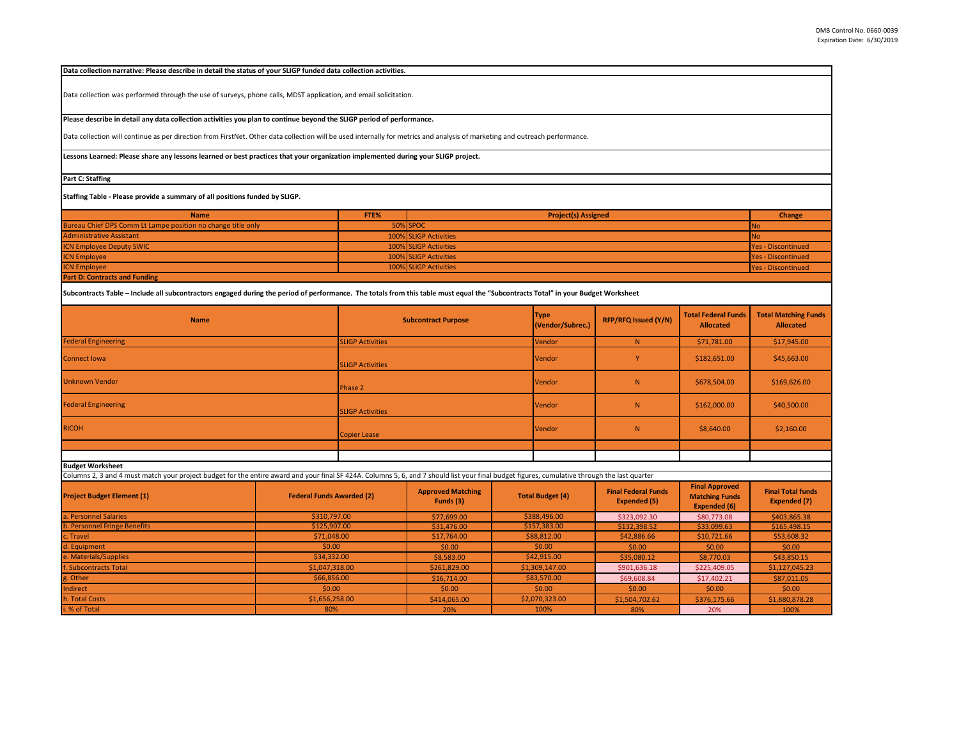**Data collection narrative: Please describe in detail the status of your SLIGP funded data collection activities.** 

Data collection was performed through the use of surveys, phone calls, MDST application, and email solicitation.

**Please describe in detail any data collection activities you plan to continue beyond the SLIGP period of performance.**

Data collection will continue as per direction from FirstNet. Other data collection will be used internally for metrics and analysis of marketing and outreach performance.

**Lessons Learned: Please share any lessons learned or best practices that your organization implemented during your SLIGP project.** 

**Part C: Staffing**

**Staffing Table - Please provide a summary of all positions funded by SLIGP.**

| <b>Name</b>                                                  | FTE% | <b>Project(s) Assigned</b> | Change                    |
|--------------------------------------------------------------|------|----------------------------|---------------------------|
| Bureau Chief DPS Comm Lt Lampe position no change title only |      | 50% SPOC                   | <b>NO</b>                 |
| <b>Administrative Assistant</b>                              |      | 100% SLIGP Activities      | <b>INO</b>                |
| <b>ICN Employee Deputy SWIC</b>                              |      | 100% SLIGP Activities      | <b>Yes - Discontinued</b> |
| <b>ICN Employee</b>                                          |      | 100% SLIGP Activities      | <b>Yes - Discontinued</b> |
| <b>ICN Employee</b>                                          |      | 100% SLIGP Activities      | <b>Yes - Discontinued</b> |
| <b>Part D: Contracts and Funding</b>                         |      |                            |                           |

**Subcontracts Table – Include all subcontractors engaged during the period of performance. The totals from this table must equal the "Subcontracts Total" in your Budget Worksheet**

| <b>Name</b>                | <b>Subcontract Purpose</b> | <b>Type</b><br>(Vendor/Subrec.) | <b>RFP/RFQ Issued (Y/N)</b> | Total Federal Funds<br><b>Allocated</b> | <b>Total Matching Funds</b><br><b>Allocated</b> |
|----------------------------|----------------------------|---------------------------------|-----------------------------|-----------------------------------------|-------------------------------------------------|
| <b>Federal Engineering</b> | <b>SLIGP Activities</b>    | Vendor                          | N                           | \$71,781.00                             | \$17,945.00                                     |
| <b>Connect Iowa</b>        | <b>SLIGP Activities</b>    | Vendor                          |                             | \$182,651.00                            | \$45,663.00                                     |
| <b>Unknown Vendor</b>      | Phase 2                    | Vendor                          | N.                          | \$678,504.00                            | \$169,626.00                                    |
| <b>Federal Engineering</b> | <b>SLIGP Activities</b>    | Vendor                          | N.                          | \$162,000.00                            | \$40,500.00                                     |
| <b>RICOH</b>               | Copier Lease               | Vendor                          | N                           | \$8,640.00                              | \$2,160.00                                      |
|                            |                            |                                 |                             |                                         |                                                 |
|                            |                            |                                 |                             |                                         |                                                 |

**Budget Worksheet**

Columns 2, 3 and 4 must match your project budget for the entire award and your final SF 424A. Columns 5, 6, and 7 should list your final budget figures, cumulative through the last quarter

| <b>Project Budget Element (1)</b> | <b>Federal Funds Awarded (2)</b> | <b>Approved Matching</b><br>Funds (3) | <b>Total Budget (4)</b> | <b>Final Federal Funds</b><br><b>Expended (5)</b> | Final Approved<br><b>Matching Funds</b><br><b>Expended (6)</b> | <b>Final Total funds</b><br>Expended (7) |
|-----------------------------------|----------------------------------|---------------------------------------|-------------------------|---------------------------------------------------|----------------------------------------------------------------|------------------------------------------|
| a. Personnel Salaries             | \$310,797.00                     | \$77,699.00                           | \$388,496.00            | \$323,092.30                                      | \$80,773.08                                                    | \$403,865.38                             |
| b. Personnel Fringe Benefits      | \$125,907.00                     | \$31,476.00                           | \$157,383.00            | \$132,398.52                                      | \$33,099.63                                                    | \$165,498.15                             |
| c. Travel                         | \$71,048.00                      | \$17,764.00                           | \$88,812.00             | \$42,886.66                                       | \$10,721.66                                                    | \$53,608.32                              |
| d. Equipment                      | \$0.00                           | \$0.00                                | \$0.00                  | \$0.00                                            | \$0.00                                                         | \$0.00                                   |
| e. Materials/Supplies             | \$34,332.00                      | \$8,583.00                            | \$42,915.00             | \$35,080.12                                       | \$8,770.03                                                     | \$43,850.15                              |
| f. Subcontracts Total             | \$1,047,318.00                   | \$261,829.00                          | \$1,309,147.00          | \$901,636.18                                      | \$225,409.05                                                   | \$1,127,045.23                           |
| g. Other                          | \$66,856.00                      | \$16,714.00                           | \$83,570.00             | \$69,608.84                                       | \$17,402.21                                                    | \$87,011.05                              |
| Indirect                          | \$0.00                           | \$0.00                                | \$0.00                  | \$0.00                                            | \$0.00                                                         | \$0.00                                   |
| h. Total Costs                    | \$1,656,258.00                   | \$414,065.00                          | \$2,070,323.00          | \$1,504,702.62                                    | \$376,175.66                                                   | \$1,880,878.28                           |
| i. % of Total                     | 80%                              | 20%                                   | 100%                    | 80%                                               | 20%                                                            | 100%                                     |